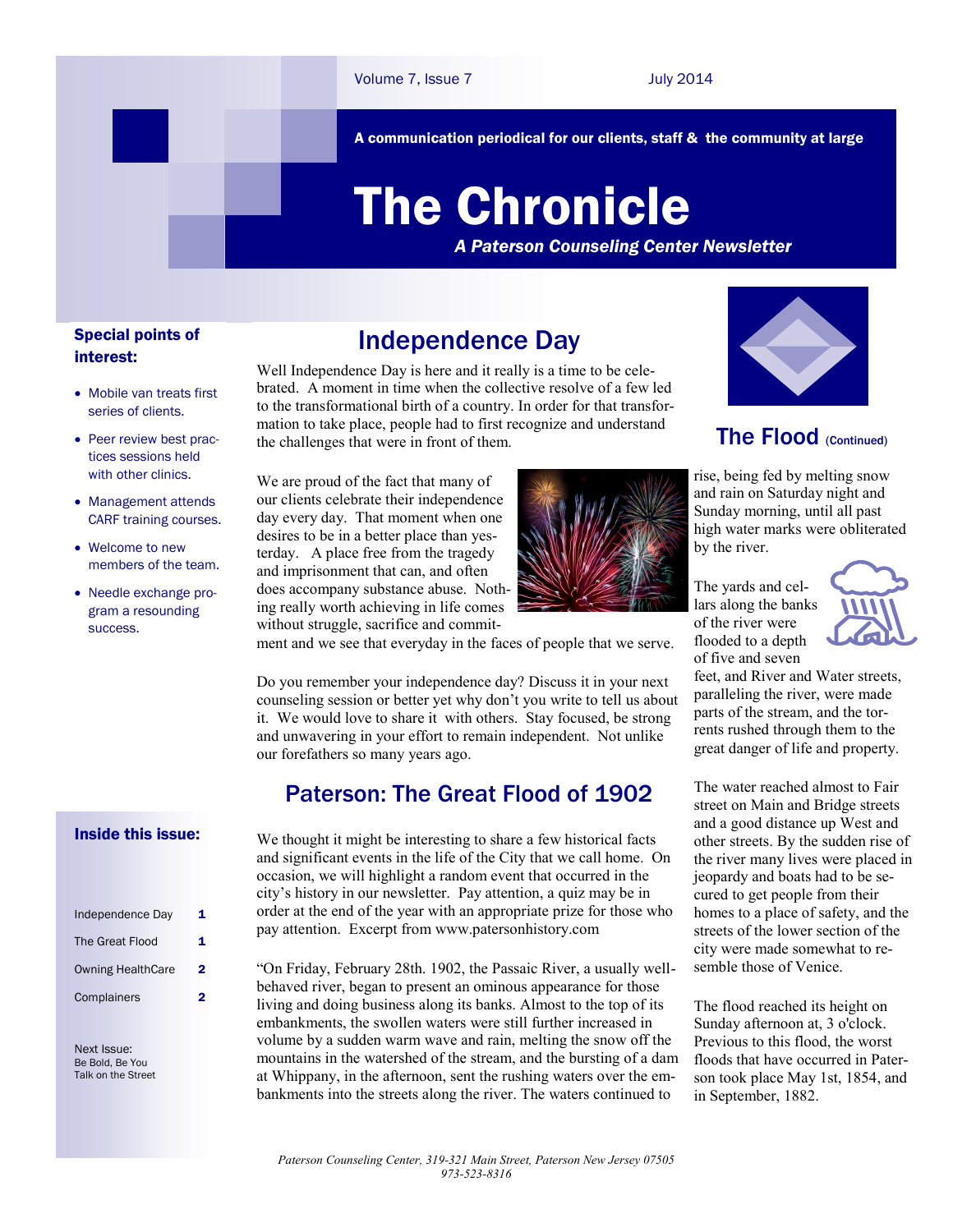A communication periodical for our clients, staff & the community at large

# The Chronicle

*A Paterson Counseling Center Newsletter*

## Special points of interest:

- Mobile van treats first series of clients.
- Peer review best practices sessions held with other clinics.
- Management attends CARF training courses.
- Welcome to new members of the team.
- Needle exchange program a resounding success.

#### Inside this issue:

| Independence Day         | 1 |
|--------------------------|---|
| The Great Flood          | 1 |
| <b>Owning HealthCare</b> | 2 |
| Complainers              |   |

Next Issue: Be Bold, Be You Talk on the Street

# Independence Day

Well Independence Day is here and it really is a time to be celebrated. A moment in time when the collective resolve of a few led to the transformational birth of a country. In order for that transformation to take place, people had to first recognize and understand the challenges that were in front of them.

ment and we see that everyday in the faces of people that we serve.

Do you remember your independence day? Discuss it in your next counseling session or better yet why don't you write to tell us about it. We would love to share it with others. Stay focused, be strong and unwavering in your effort to remain independent. Not unlike

We thought it might be interesting to share a few historical facts and significant events in the life of the City that we call home. On occasion, we will highlight a random event that occurred in the city's history in our newsletter. Pay attention, a quiz may be in order at the end of the year with an appropriate prize for those who

Paterson: The Great Flood of 1902

"On Friday, February 28th. 1902, the Passaic River, a usually wellbehaved river, began to present an ominous appearance for those living and doing business along its banks. Almost to the top of its embankments, the swollen waters were still further increased in volume by a sudden warm wave and rain, melting the snow off the mountains in the watershed of the stream, and the bursting of a dam at Whippany, in the afternoon, sent the rushing waters over the embankments into the streets along the river. The waters continued to

pay attention. Excerpt from www.patersonhistory.com

We are proud of the fact that many of our clients celebrate their independence day every day. That moment when one desires to be in a better place than yesterday. A place free from the tragedy and imprisonment that can, and often does accompany substance abuse. Nothing really worth achieving in life comes without struggle, sacrifice and commit-

our forefathers so many years ago.



## The Flood (Continued)

rise, being fed by melting snow and rain on Saturday night and Sunday morning, until all past high water marks were obliterated by the river.

The yards and cellars along the banks of the river were flooded to a depth of five and seven



feet, and River and Water streets, paralleling the river, were made parts of the stream, and the torrents rushed through them to the great danger of life and property.

The water reached almost to Fair street on Main and Bridge streets and a good distance up West and other streets. By the sudden rise of the river many lives were placed in jeopardy and boats had to be secured to get people from their homes to a place of safety, and the streets of the lower section of the city were made somewhat to resemble those of Venice.

The flood reached its height on Sunday afternoon at, 3 o'clock. Previous to this flood, the worst floods that have occurred in Paterson took place May 1st, 1854, and in September, 1882.

*Paterson Counseling Center, 319-321 Main Street, Paterson New Jersey 07505*

*973-523-8316*